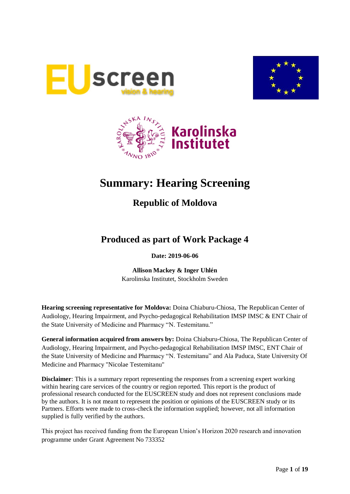





# **Summary: Hearing Screening**

## **Republic of Moldova**

## **Produced as part of Work Package 4**

### **Date: 2019-06-06**

**Allison Mackey & Inger Uhlén** Karolinska Institutet, Stockholm Sweden

**Hearing screening representative for Moldova:** Doina Chiaburu-Chiosa, The Republican Center of Audiology, Hearing Impairment, and Psycho-pedagogical Rehabilitation IMSP IMSC & ENT Chair of the State University of Medicine and Pharmacy "N. Testemitanu."

**General information acquired from answers by:** Doina Chiaburu-Chiosa, The Republican Center of Audiology, Hearing Impairment, and Psycho-pedagogical Rehabilitation IMSP IMSC, ENT Chair of the State University of Medicine and Pharmacy "N. Testemitanu" and Ala Paduca, State University Of Medicine and Pharmacy ''Nicolae Testemitanu"

**Disclaimer**: This is a summary report representing the responses from a screening expert working within hearing care services of the country or region reported. This report is the product of professional research conducted for the EUSCREEN study and does not represent conclusions made by the authors. It is not meant to represent the position or opinions of the EUSCREEN study or its Partners. Efforts were made to cross-check the information supplied; however, not all information supplied is fully verified by the authors.

This project has received funding from the European Union's Horizon 2020 research and innovation programme under Grant Agreement No 733352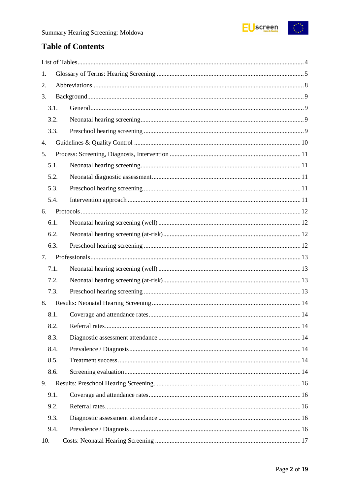

## **Table of Contents**

| 1.   |  |
|------|--|
| 2.   |  |
| 3.   |  |
| 3.1. |  |
| 3.2. |  |
| 3.3. |  |
| 4.   |  |
| 5.   |  |
| 5.1. |  |
| 5.2. |  |
| 5.3. |  |
| 5.4. |  |
| 6.   |  |
| 6.1. |  |
| 6.2. |  |
| 6.3. |  |
| 7.   |  |
| 7.1. |  |
| 7.2. |  |
| 7.3. |  |
| 8.   |  |
| 8.1. |  |
| 8.2. |  |
| 8.3. |  |
| 8.4. |  |
| 8.5. |  |
| 8.6. |  |
| 9.   |  |
| 9.1. |  |
| 9.2. |  |
| 9.3. |  |
| 9.4. |  |
| 10.  |  |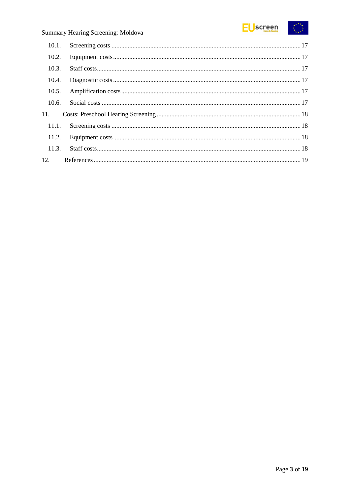

### Summary Hearing Screening: Moldova

| 10.1. |  |
|-------|--|
| 10.2. |  |
| 10.3. |  |
| 10.4. |  |
| 10.5. |  |
| 10.6. |  |
| 11.   |  |
| 11.1. |  |
|       |  |
| 11.3. |  |
| 12.   |  |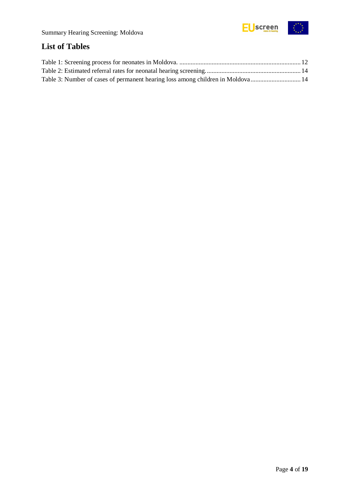

## <span id="page-3-0"></span>**List of Tables**

| Table 3: Number of cases of permanent hearing loss among children in Moldova 14 |  |
|---------------------------------------------------------------------------------|--|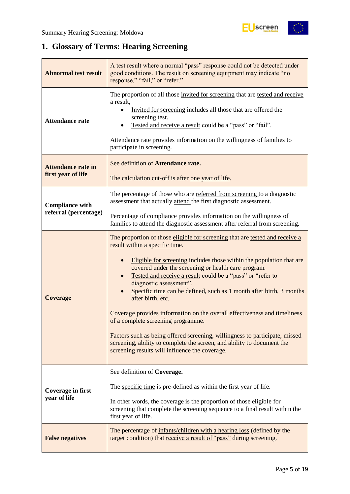

## <span id="page-4-0"></span>**1. Glossary of Terms: Hearing Screening**

| <b>Abnormal test result</b>                                                                                                                                             | A test result where a normal "pass" response could not be detected under<br>good conditions. The result on screening equipment may indicate "no<br>response," "fail," or "refer."                                                                                                                                                                                                                                                                                                                                                                                                                                                                                                                                                                                |  |
|-------------------------------------------------------------------------------------------------------------------------------------------------------------------------|------------------------------------------------------------------------------------------------------------------------------------------------------------------------------------------------------------------------------------------------------------------------------------------------------------------------------------------------------------------------------------------------------------------------------------------------------------------------------------------------------------------------------------------------------------------------------------------------------------------------------------------------------------------------------------------------------------------------------------------------------------------|--|
| <b>Attendance rate</b>                                                                                                                                                  | The proportion of all those invited for screening that are tested and receive<br>a result,<br>Invited for screening includes all those that are offered the<br>screening test.<br>Tested and receive a result could be a "pass" or "fail".<br>Attendance rate provides information on the willingness of families to<br>participate in screening.                                                                                                                                                                                                                                                                                                                                                                                                                |  |
| See definition of Attendance rate.<br><b>Attendance rate in</b><br>first year of life<br>The calculation cut-off is after one year of life.                             |                                                                                                                                                                                                                                                                                                                                                                                                                                                                                                                                                                                                                                                                                                                                                                  |  |
| <b>Compliance with</b>                                                                                                                                                  | The percentage of those who are referred from screening to a diagnostic<br>assessment that actually attend the first diagnostic assessment.                                                                                                                                                                                                                                                                                                                                                                                                                                                                                                                                                                                                                      |  |
| referral (percentage)                                                                                                                                                   | Percentage of compliance provides information on the willingness of<br>families to attend the diagnostic assessment after referral from screening.                                                                                                                                                                                                                                                                                                                                                                                                                                                                                                                                                                                                               |  |
| <b>Coverage</b>                                                                                                                                                         | The proportion of those eligible for screening that are tested and receive a<br>result within a specific time.<br>Eligible for screening includes those within the population that are<br>covered under the screening or health care program.<br>Tested and receive a result could be a "pass" or "refer to<br>diagnostic assessment".<br>Specific time can be defined, such as 1 month after birth, 3 months<br>after birth, etc.<br>Coverage provides information on the overall effectiveness and timeliness<br>of a complete screening programme.<br>Factors such as being offered screening, willingness to participate, missed<br>screening, ability to complete the screen, and ability to document the<br>screening results will influence the coverage. |  |
| <b>Coverage in first</b><br>year of life                                                                                                                                | See definition of Coverage.<br>The specific time is pre-defined as within the first year of life.<br>In other words, the coverage is the proportion of those eligible for<br>screening that complete the screening sequence to a final result within the<br>first year of life.                                                                                                                                                                                                                                                                                                                                                                                                                                                                                  |  |
| The percentage of infants/children with a hearing loss (defined by the<br>target condition) that receive a result of "pass" during screening.<br><b>False negatives</b> |                                                                                                                                                                                                                                                                                                                                                                                                                                                                                                                                                                                                                                                                                                                                                                  |  |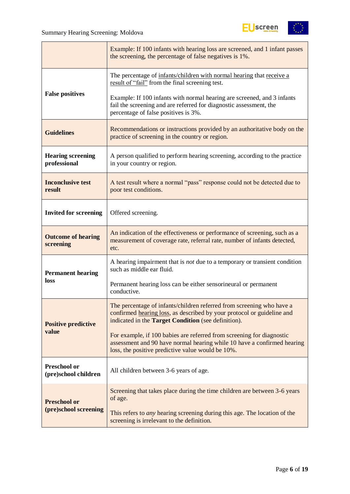

|                                                                                                                                                                                                         | Example: If 100 infants with hearing loss are screened, and 1 infant passes<br>the screening, the percentage of false negatives is 1%.                                                                        |
|---------------------------------------------------------------------------------------------------------------------------------------------------------------------------------------------------------|---------------------------------------------------------------------------------------------------------------------------------------------------------------------------------------------------------------|
|                                                                                                                                                                                                         | The percentage of infants/children with normal hearing that receive a<br>result of "fail" from the final screening test.                                                                                      |
| <b>False positives</b>                                                                                                                                                                                  | Example: If 100 infants with normal hearing are screened, and 3 infants<br>fail the screening and are referred for diagnostic assessment, the<br>percentage of false positives is 3%.                         |
| Recommendations or instructions provided by an authoritative body on the<br><b>Guidelines</b><br>practice of screening in the country or region.                                                        |                                                                                                                                                                                                               |
| <b>Hearing screening</b><br>professional                                                                                                                                                                | A person qualified to perform hearing screening, according to the practice<br>in your country or region.                                                                                                      |
| <b>Inconclusive test</b><br>A test result where a normal "pass" response could not be detected due to<br>result<br>poor test conditions.                                                                |                                                                                                                                                                                                               |
| <b>Invited for screening</b><br>Offered screening.                                                                                                                                                      |                                                                                                                                                                                                               |
| An indication of the effectiveness or performance of screening, such as a<br><b>Outcome of hearing</b><br>measurement of coverage rate, referral rate, number of infants detected,<br>screening<br>etc. |                                                                                                                                                                                                               |
| <b>Permanent hearing</b>                                                                                                                                                                                | A hearing impairment that is <i>not</i> due to a temporary or transient condition<br>such as middle ear fluid.                                                                                                |
| loss                                                                                                                                                                                                    | Permanent hearing loss can be either sensorineural or permanent<br>conductive.                                                                                                                                |
| <b>Positive predictive</b>                                                                                                                                                                              | The percentage of infants/children referred from screening who have a<br>confirmed hearing loss, as described by your protocol or guideline and<br>indicated in the <b>Target Condition</b> (see definition). |
| value                                                                                                                                                                                                   | For example, if 100 babies are referred from screening for diagnostic<br>assessment and 90 have normal hearing while 10 have a confirmed hearing<br>loss, the positive predictive value would be 10%.         |
| <b>Preschool or</b><br>(pre)school children                                                                                                                                                             | All children between 3-6 years of age.                                                                                                                                                                        |
| <b>Preschool or</b>                                                                                                                                                                                     | Screening that takes place during the time children are between 3-6 years<br>of age.                                                                                                                          |
| (pre)school screening                                                                                                                                                                                   | This refers to <i>any</i> hearing screening during this age. The location of the<br>screening is irrelevant to the definition.                                                                                |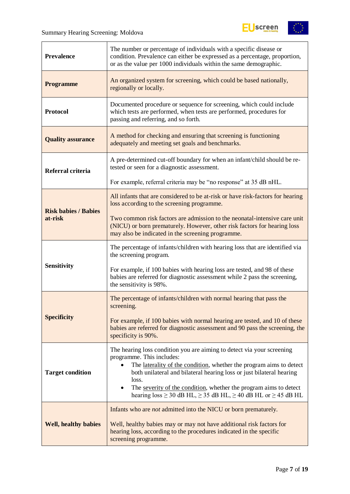

| <b>Prevalence</b>                                                                                                                                                                                     | The number or percentage of individuals with a specific disease or<br>condition. Prevalence can either be expressed as a percentage, proportion,<br>or as the value per 1000 individuals within the same demographic.                                                                                                                                      |  |  |  |  |
|-------------------------------------------------------------------------------------------------------------------------------------------------------------------------------------------------------|------------------------------------------------------------------------------------------------------------------------------------------------------------------------------------------------------------------------------------------------------------------------------------------------------------------------------------------------------------|--|--|--|--|
| <b>Programme</b>                                                                                                                                                                                      | An organized system for screening, which could be based nationally,<br>regionally or locally.                                                                                                                                                                                                                                                              |  |  |  |  |
| Documented procedure or sequence for screening, which could include<br>which tests are performed, when tests are performed, procedures for<br><b>Protocol</b><br>passing and referring, and so forth. |                                                                                                                                                                                                                                                                                                                                                            |  |  |  |  |
| A method for checking and ensuring that screening is functioning<br><b>Quality assurance</b><br>adequately and meeting set goals and benchmarks.                                                      |                                                                                                                                                                                                                                                                                                                                                            |  |  |  |  |
| Referral criteria                                                                                                                                                                                     | A pre-determined cut-off boundary for when an infant/child should be re-<br>tested or seen for a diagnostic assessment.                                                                                                                                                                                                                                    |  |  |  |  |
|                                                                                                                                                                                                       | For example, referral criteria may be "no response" at 35 dB nHL.                                                                                                                                                                                                                                                                                          |  |  |  |  |
| <b>Risk babies / Babies</b>                                                                                                                                                                           | All infants that are considered to be at-risk or have risk-factors for hearing<br>loss according to the screening programme.                                                                                                                                                                                                                               |  |  |  |  |
| at-risk                                                                                                                                                                                               | Two common risk factors are admission to the neonatal-intensive care unit<br>(NICU) or born prematurely. However, other risk factors for hearing loss<br>may also be indicated in the screening programme.                                                                                                                                                 |  |  |  |  |
|                                                                                                                                                                                                       | The percentage of infants/children with hearing loss that are identified via<br>the screening program.                                                                                                                                                                                                                                                     |  |  |  |  |
| <b>Sensitivity</b>                                                                                                                                                                                    | For example, if 100 babies with hearing loss are tested, and 98 of these<br>babies are referred for diagnostic assessment while 2 pass the screening,<br>the sensitivity is 98%.                                                                                                                                                                           |  |  |  |  |
|                                                                                                                                                                                                       | The percentage of infants/children with normal hearing that pass the<br>screening.                                                                                                                                                                                                                                                                         |  |  |  |  |
| <b>Specificity</b>                                                                                                                                                                                    | For example, if 100 babies with normal hearing are tested, and 10 of these<br>babies are referred for diagnostic assessment and 90 pass the screening, the<br>specificity is 90%.                                                                                                                                                                          |  |  |  |  |
| <b>Target condition</b>                                                                                                                                                                               | The hearing loss condition you are aiming to detect via your screening<br>programme. This includes:<br>The laterality of the condition, whether the program aims to detect<br>$\bullet$<br>both unilateral and bilateral hearing loss or just bilateral hearing<br>loss.<br>The severity of the condition, whether the program aims to detect<br>$\bullet$ |  |  |  |  |
|                                                                                                                                                                                                       | hearing loss $\geq$ 30 dB HL, $\geq$ 35 dB HL, $\geq$ 40 dB HL or $\geq$ 45 dB HL                                                                                                                                                                                                                                                                          |  |  |  |  |
|                                                                                                                                                                                                       | Infants who are <i>not</i> admitted into the NICU or born prematurely.                                                                                                                                                                                                                                                                                     |  |  |  |  |
| <b>Well, healthy babies</b>                                                                                                                                                                           | Well, healthy babies may or may not have additional risk factors for<br>hearing loss, according to the procedures indicated in the specific<br>screening programme.                                                                                                                                                                                        |  |  |  |  |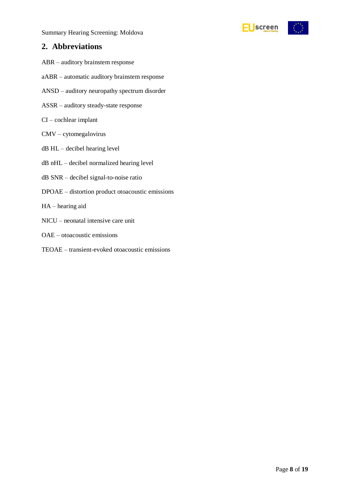Summary Hearing Screening: Moldova



### <span id="page-7-0"></span>**2. Abbreviations**

- ABR auditory brainstem response
- aABR automatic auditory brainstem response
- ANSD auditory neuropathy spectrum disorder
- ASSR auditory steady-state response
- CI cochlear implant
- CMV cytomegalovirus
- dB HL decibel hearing level
- dB nHL decibel normalized hearing level
- dB SNR decibel signal-to-noise ratio
- DPOAE distortion product otoacoustic emissions
- HA hearing aid
- NICU neonatal intensive care unit
- OAE otoacoustic emissions
- TEOAE transient-evoked otoacoustic emissions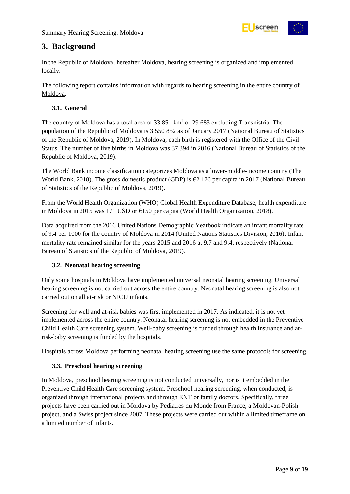

### <span id="page-8-0"></span>**3. Background**

In the Republic of Moldova, hereafter Moldova, hearing screening is organized and implemented locally.

The following report contains information with regards to hearing screening in the entire country of Moldova.

### <span id="page-8-1"></span>**3.1. General**

The country of Moldova has a total area of 33 851 km<sup>2</sup> or 29 683 excluding Transnistria. The population of the Republic of Moldova is 3 550 852 as of January 2017 (National Bureau of Statistics of the Republic of Moldova, 2019). In Moldova, each birth is registered with the Office of the Civil Status. The number of live births in Moldova was 37 394 in 2016 (National Bureau of Statistics of the Republic of Moldova, 2019).

The World Bank income classification categorizes Moldova as a lower-middle-income country (The World Bank, 2018). The gross domestic product (GDP) is €2 176 per capita in 2017 (National Bureau of Statistics of the Republic of Moldova, 2019).

From the World Health Organization (WHO) Global Health Expenditure Database, health expenditure in Moldova in 2015 was 171 USD or €150 per capita (World Health Organization, 2018).

Data acquired from the 2016 United Nations Demographic Yearbook indicate an infant mortality rate of 9.4 per 1000 for the country of Moldova in 2014 (United Nations Statistics Division, 2016). Infant mortality rate remained similar for the years 2015 and 2016 at 9.7 and 9.4, respectively (National Bureau of Statistics of the Republic of Moldova, 2019).

### <span id="page-8-2"></span>**3.2. Neonatal hearing screening**

Only some hospitals in Moldova have implemented universal neonatal hearing screening. Universal hearing screening is not carried out across the entire country. Neonatal hearing screening is also not carried out on all at-risk or NICU infants.

Screening for well and at-risk babies was first implemented in 2017. As indicated, it is not yet implemented across the entire country. Neonatal hearing screening is not embedded in the Preventive Child Health Care screening system. Well-baby screening is funded through health insurance and atrisk-baby screening is funded by the hospitals.

Hospitals across Moldova performing neonatal hearing screening use the same protocols for screening.

### <span id="page-8-3"></span>**3.3. Preschool hearing screening**

In Moldova, preschool hearing screening is not conducted universally, nor is it embedded in the Preventive Child Health Care screening system. Preschool hearing screening, when conducted, is organized through international projects and through ENT or family doctors. Specifically, three projects have been carried out in Moldova by Pediatres du Monde from France, a Moldovan-Polish project, and a Swiss project since 2007. These projects were carried out within a limited timeframe on a limited number of infants.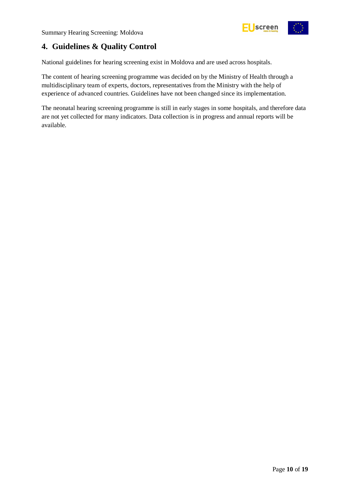

### <span id="page-9-0"></span>**4. Guidelines & Quality Control**

National guidelines for hearing screening exist in Moldova and are used across hospitals.

The content of hearing screening programme was decided on by the Ministry of Health through a multidisciplinary team of experts, doctors, representatives from the Ministry with the help of experience of advanced countries. Guidelines have not been changed since its implementation.

The neonatal hearing screening programme is still in early stages in some hospitals, and therefore data are not yet collected for many indicators. Data collection is in progress and annual reports will be available.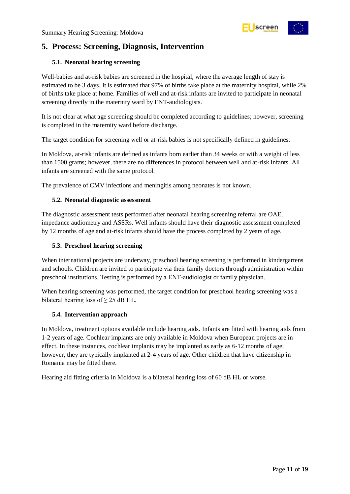

### <span id="page-10-0"></span>**5. Process: Screening, Diagnosis, Intervention**

### <span id="page-10-1"></span>**5.1. Neonatal hearing screening**

Well-babies and at-risk babies are screened in the hospital, where the average length of stay is estimated to be 3 days. It is estimated that 97% of births take place at the maternity hospital, while 2% of births take place at home. Families of well and at-risk infants are invited to participate in neonatal screening directly in the maternity ward by ENT-audiologists.

It is not clear at what age screening should be completed according to guidelines; however, screening is completed in the maternity ward before discharge.

The target condition for screening well or at-risk babies is not specifically defined in guidelines.

In Moldova, at-risk infants are defined as infants born earlier than 34 weeks or with a weight of less than 1500 grams; however, there are no differences in protocol between well and at-risk infants. All infants are screened with the same protocol.

The prevalence of CMV infections and meningitis among neonates is not known.

### <span id="page-10-2"></span>**5.2. Neonatal diagnostic assessment**

The diagnostic assessment tests performed after neonatal hearing screening referral are OAE, impedance audiometry and ASSRs. Well infants should have their diagnostic assessment completed by 12 months of age and at-risk infants should have the process completed by 2 years of age.

### <span id="page-10-3"></span>**5.3. Preschool hearing screening**

When international projects are underway, preschool hearing screening is performed in kindergartens and schools. Children are invited to participate via their family doctors through administration within preschool institutions. Testing is performed by a ENT-audiologist or family physician.

When hearing screening was performed, the target condition for preschool hearing screening was a bilateral hearing loss of  $\geq$  25 dB HL.

### <span id="page-10-4"></span>**5.4. Intervention approach**

In Moldova, treatment options available include hearing aids. Infants are fitted with hearing aids from 1-2 years of age. Cochlear implants are only available in Moldova when European projects are in effect. In these instances, cochlear implants may be implanted as early as 6-12 months of age; however, they are typically implanted at 2-4 years of age. Other children that have citizenship in Romania may be fitted there.

Hearing aid fitting criteria in Moldova is a bilateral hearing loss of 60 dB HL or worse.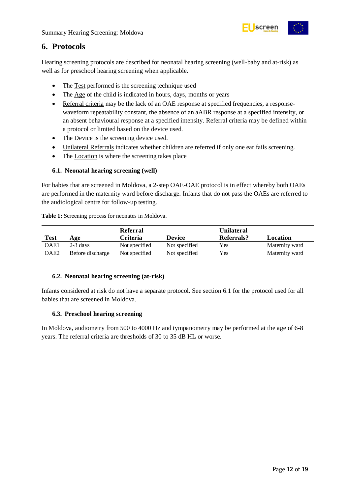

### <span id="page-11-0"></span>**6. Protocols**

Hearing screening protocols are described for neonatal hearing screening (well-baby and at-risk) as well as for preschool hearing screening when applicable.

- The Test performed is the screening technique used
- The Age of the child is indicated in hours, days, months or years
- Referral criteria may be the lack of an OAE response at specified frequencies, a responsewaveform repeatability constant, the absence of an aABR response at a specified intensity, or an absent behavioural response at a specified intensity. Referral criteria may be defined within a protocol or limited based on the device used.
- The Device is the screening device used.
- Unilateral Referrals indicates whether children are referred if only one ear fails screening.
- The Location is where the screening takes place

### <span id="page-11-1"></span>**6.1. Neonatal hearing screening (well)**

For babies that are screened in Moldova, a 2-step OAE-OAE protocol is in effect whereby both OAEs are performed in the maternity ward before discharge. Infants that do not pass the OAEs are referred to the audiological centre for follow-up testing.

| <b>Test</b> | Age              | Referral<br><b>Criteria</b> | <b>Device</b> | Unilateral<br><b>Referrals?</b> | Location       |
|-------------|------------------|-----------------------------|---------------|---------------------------------|----------------|
| OAE1        | $2-3$ days       | Not specified               | Not specified | Yes                             | Maternity ward |
| OAE2        | Before discharge | Not specified               | Not specified | Yes                             | Maternity ward |

<span id="page-11-4"></span>**Table 1:** Screening process for neonates in Moldova.

#### <span id="page-11-2"></span>**6.2. Neonatal hearing screening (at-risk)**

Infants considered at risk do not have a separate protocol. See section 6.1 for the protocol used for all babies that are screened in Moldova.

#### <span id="page-11-3"></span>**6.3. Preschool hearing screening**

In Moldova, audiometry from 500 to 4000 Hz and tympanometry may be performed at the age of 6-8 years. The referral criteria are thresholds of 30 to 35 dB HL or worse.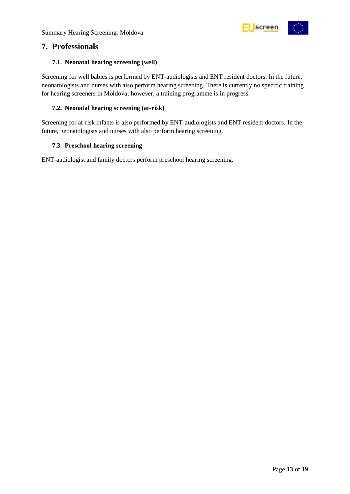

### <span id="page-12-0"></span>**7. Professionals**

### <span id="page-12-1"></span>**7.1. Neonatal hearing screening (well)**

Screening for well babies is performed by ENT-audiologists and ENT resident doctors. In the future, neonatologists and nurses with also perform hearing screening. There is currently no specific training for hearing screeners in Moldova; however, a training programme is in progress.

### <span id="page-12-2"></span>**7.2. Neonatal hearing screening (at-risk)**

Screening for at-risk infants is also performed by ENT-audiologists and ENT resident doctors. In the future, neonatologists and nurses with also perform hearing screening.

### <span id="page-12-3"></span>**7.3. Preschool hearing screening**

ENT-audiologist and family doctors perform preschool hearing screening.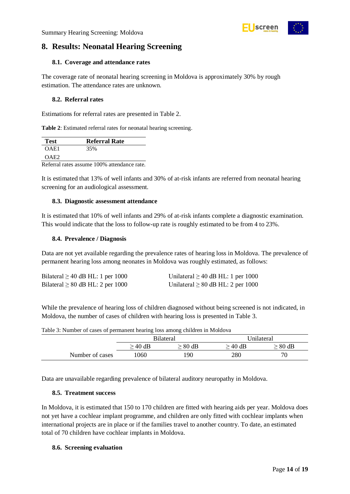### <span id="page-13-0"></span>**8. Results: Neonatal Hearing Screening**

### <span id="page-13-1"></span>**8.1. Coverage and attendance rates**

The coverage rate of neonatal hearing screening in Moldova is approximately 30% by rough estimation. The attendance rates are unknown.

### <span id="page-13-2"></span>**8.2. Referral rates**

Estimations for referral rates are presented in Table 2.

<span id="page-13-7"></span>**Table 2**: Estimated referral rates for neonatal hearing screening.

| <b>Test</b>      | <b>Referral Rate</b>                        |
|------------------|---------------------------------------------|
| OAE1             | 35%                                         |
| OAE <sub>2</sub> |                                             |
|                  | Referral rates assume 100% attendance rate. |

It is estimated that 13% of well infants and 30% of at-risk infants are referred from neonatal hearing screening for an audiological assessment.

### <span id="page-13-3"></span>**8.3. Diagnostic assessment attendance**

It is estimated that 10% of well infants and 29% of at-risk infants complete a diagnostic examination. This would indicate that the loss to follow-up rate is roughly estimated to be from 4 to 23%.

### <span id="page-13-4"></span>**8.4. Prevalence / Diagnosis**

Data are not yet available regarding the prevalence rates of hearing loss in Moldova. The prevalence of permanent hearing loss among neonates in Moldova was roughly estimated, as follows:

| Bilateral $\geq$ 40 dB HL: 1 per 1000 | Unilateral $\geq$ 40 dB HL: 1 per 1000 |
|---------------------------------------|----------------------------------------|
| Bilateral $\geq 80$ dB HL: 2 per 1000 | Unilateral $\geq 80$ dB HL: 2 per 1000 |

While the prevalence of hearing loss of children diagnosed without being screened is not indicated, in Moldova, the number of cases of children with hearing loss is presented in Table 3.

|                 | <b>Bilateral</b> |              |              | Unilateral   |
|-----------------|------------------|--------------|--------------|--------------|
|                 | $\geq 40$ dB     | $\geq 80$ dB | $\geq$ 40 dB | $\geq 80$ dB |
| Number of cases | 1060             | 190          | 280          | 70           |

<span id="page-13-8"></span>Table 3: Number of cases of permanent hearing loss among children in Moldova

Data are unavailable regarding prevalence of bilateral auditory neuropathy in Moldova.

### <span id="page-13-5"></span>**8.5. Treatment success**

In Moldova, it is estimated that 150 to 170 children are fitted with hearing aids per year. Moldova does not yet have a cochlear implant programme, and children are only fitted with cochlear implants when international projects are in place or if the families travel to another country. To date, an estimated total of 70 children have cochlear implants in Moldova.

### <span id="page-13-6"></span>**8.6. Screening evaluation**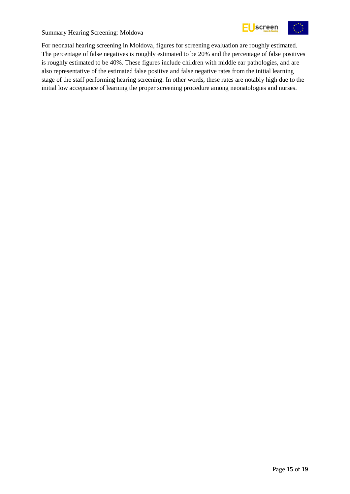

Summary Hearing Screening: Moldova

For neonatal hearing screening in Moldova, figures for screening evaluation are roughly estimated. The percentage of false negatives is roughly estimated to be 20% and the percentage of false positives is roughly estimated to be 40%. These figures include children with middle ear pathologies, and are also representative of the estimated false positive and false negative rates from the initial learning stage of the staff performing hearing screening. In other words, these rates are notably high due to the initial low acceptance of learning the proper screening procedure among neonatologies and nurses.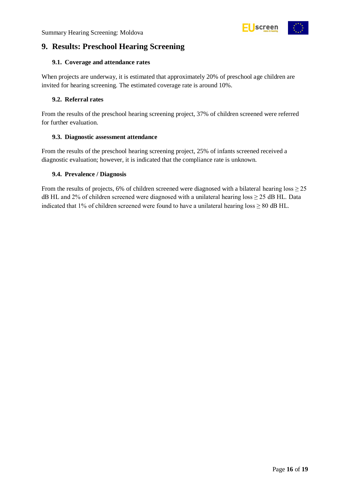

### <span id="page-15-0"></span>**9. Results: Preschool Hearing Screening**

### <span id="page-15-1"></span>**9.1. Coverage and attendance rates**

When projects are underway, it is estimated that approximately 20% of preschool age children are invited for hearing screening. The estimated coverage rate is around 10%.

### <span id="page-15-2"></span>**9.2. Referral rates**

From the results of the preschool hearing screening project, 37% of children screened were referred for further evaluation.

### <span id="page-15-3"></span>**9.3. Diagnostic assessment attendance**

From the results of the preschool hearing screening project, 25% of infants screened received a diagnostic evaluation; however, it is indicated that the compliance rate is unknown.

### <span id="page-15-4"></span>**9.4. Prevalence / Diagnosis**

From the results of projects, 6% of children screened were diagnosed with a bilateral hearing  $\text{loss} \geq 25$ dB HL and 2% of children screened were diagnosed with a unilateral hearing loss  $\geq$  25 dB HL. Data indicated that 1% of children screened were found to have a unilateral hearing loss  $\geq 80$  dB HL.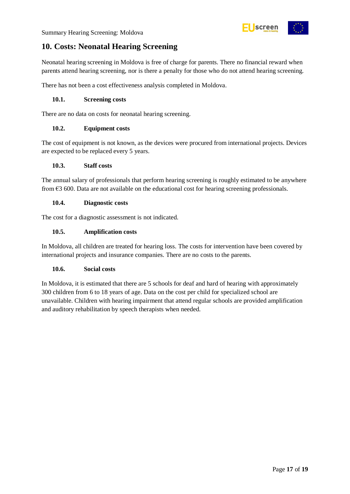



### <span id="page-16-0"></span>**10. Costs: Neonatal Hearing Screening**

Neonatal hearing screening in Moldova is free of charge for parents. There no financial reward when parents attend hearing screening, nor is there a penalty for those who do not attend hearing screening.

There has not been a cost effectiveness analysis completed in Moldova.

### <span id="page-16-1"></span>**10.1. Screening costs**

There are no data on costs for neonatal hearing screening.

### <span id="page-16-2"></span>**10.2. Equipment costs**

The cost of equipment is not known, as the devices were procured from international projects. Devices are expected to be replaced every 5 years.

#### <span id="page-16-3"></span>**10.3. Staff costs**

The annual salary of professionals that perform hearing screening is roughly estimated to be anywhere from €3 600. Data are not available on the educational cost for hearing screening professionals.

#### <span id="page-16-4"></span>**10.4. Diagnostic costs**

The cost for a diagnostic assessment is not indicated.

### <span id="page-16-5"></span>**10.5. Amplification costs**

In Moldova, all children are treated for hearing loss. The costs for intervention have been covered by international projects and insurance companies. There are no costs to the parents.

#### <span id="page-16-6"></span>**10.6. Social costs**

In Moldova, it is estimated that there are 5 schools for deaf and hard of hearing with approximately 300 children from 6 to 18 years of age. Data on the cost per child for specialized school are unavailable. Children with hearing impairment that attend regular schools are provided amplification and auditory rehabilitation by speech therapists when needed.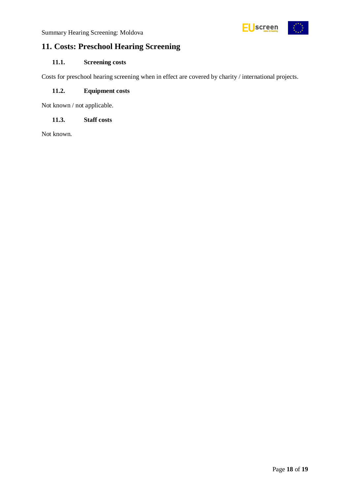

### <span id="page-17-0"></span>**11. Costs: Preschool Hearing Screening**

### <span id="page-17-1"></span>**11.1. Screening costs**

Costs for preschool hearing screening when in effect are covered by charity / international projects.

### <span id="page-17-2"></span>**11.2. Equipment costs**

Not known / not applicable.

### <span id="page-17-3"></span>**11.3. Staff costs**

Not known.